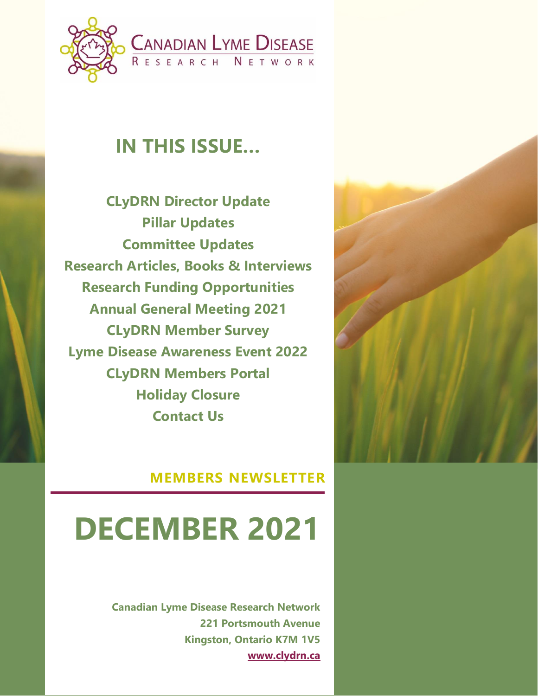

## **IN THIS ISSUE…**

**CLyDRN Director Update Pillar Updates Committee Updates Research Articles, Books & Interviews Research Funding Opportunities Annual General Meeting 2021 CLyDRN Member Survey Lyme Disease Awareness Event 2022 CLyDRN Members Portal Holiday Closure Contact Us**



#### **MEMBERS NEWSLETTER**

# **DECEMBER 2021**

**Canadian Lyme Disease Research Network 221 Portsmouth Avenue Kingston, Ontario K7M 1V5 [www.clydrn.ca](http://www.clydrn.ca/)**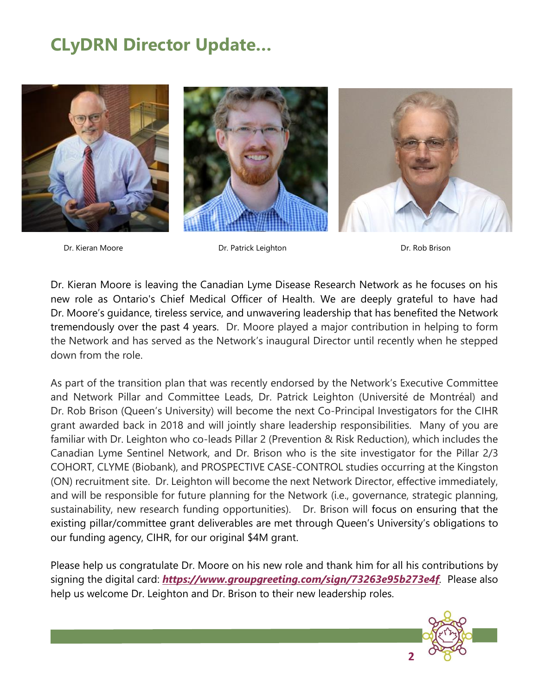## **CLyDRN Director Update…**



Dr. Kieran Moore Dr. Patrick Leighton Dr. Rob Brison

Dr. Kieran Moore is leaving the Canadian Lyme Disease Research Network as he focuses on his new role as Ontario's Chief Medical Officer of Health. We are deeply grateful to have had Dr. Moore's guidance, tireless service, and unwavering leadership that has benefited the Network tremendously over the past 4 years. Dr. Moore played a major contribution in helping to form the Network and has served as the Network's inaugural Director until recently when he stepped down from the role.

As part of the transition plan that was recently endorsed by the Network's Executive Committee and Network Pillar and Committee Leads, Dr. Patrick Leighton (Université de Montréal) and Dr. Rob Brison (Queen's University) will become the next Co-Principal Investigators for the CIHR grant awarded back in 2018 and will jointly share leadership responsibilities. Many of you are familiar with Dr. Leighton who co-leads Pillar 2 (Prevention & Risk Reduction), which includes the Canadian Lyme Sentinel Network, and Dr. Brison who is the site investigator for the Pillar 2/3 COHORT, CLYME (Biobank), and PROSPECTIVE CASE-CONTROL studies occurring at the Kingston (ON) recruitment site. Dr. Leighton will become the next Network Director, effective immediately, and will be responsible for future planning for the Network (i.e., governance, strategic planning, sustainability, new research funding opportunities). Dr. Brison will focus on ensuring that the existing pillar/committee grant deliverables are met through Queen's University's obligations to our funding agency, CIHR, for our original \$4M grant.

Please help us congratulate Dr. Moore on his new role and thank him for all his contributions by signing the digital card: *<https://www.groupgreeting.com/sign/73263e95b273e4f>.* Please also help us welcome Dr. Leighton and Dr. Brison to their new leadership roles.

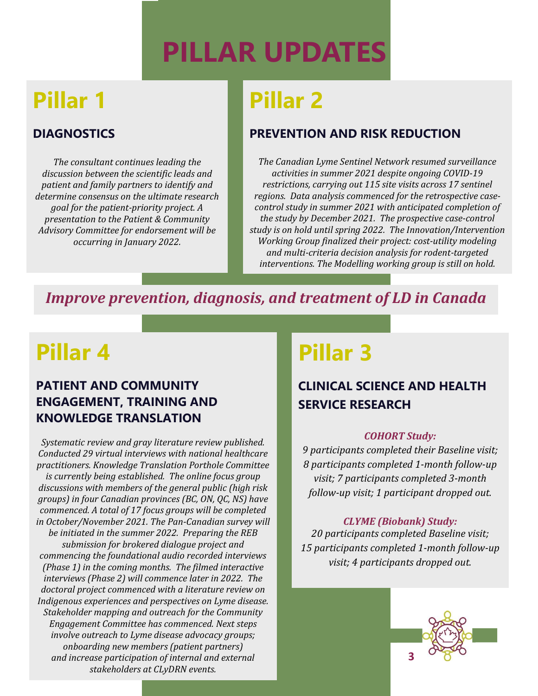# **PILLAR UPDATES**

## **Pillar 1**

#### **DIAGNOSTICS**

*The consultant continues leading the discussion between the scientific leads and patient and family partners to identify and determine consensus on the ultimate research goal for the patient-priority project. A presentation to the Patient & Community Advisory Committee for endorsement will be occurring in January 2022.*

## **Pillar 2**

#### **PREVENTION AND RISK REDUCTION**

*The Canadian Lyme Sentinel Network resumed surveillance activities in summer 2021 despite ongoing COVID-19 restrictions, carrying out 115 site visits across 17 sentinel regions. Data analysis commenced for the retrospective casecontrol study in summer 2021 with anticipated completion of the study by December 2021. The prospective case-control study is on hold until spring 2022. The Innovation/Intervention Working Group finalized their project: cost-utility modeling and multi-criteria decision analysis for rodent-targeted interventions. The Modelling working group is still on hold.*

### *Improve prevention, diagnosis, and treatment of LD in Canada*

## **Pillar 4**

#### **PATIENT AND COMMUNITY ENGAGEMENT, TRAINING AND KNOWLEDGE TRANSLATION**

*Systematic review and gray literature review published. Conducted 29 virtual interviews with national healthcare practitioners. Knowledge Translation Porthole Committee is currently being established. The online focus group discussions with members of the general public (high risk groups) in four Canadian provinces (BC, ON, QC, NS) have commenced. A total of 17 focus groups will be completed in October/November 2021. The Pan-Canadian survey will be initiated in the summer 2022. Preparing the REB submission for brokered dialogue project and commencing the foundational audio recorded interviews (Phase 1) in the coming months. The filmed interactive interviews (Phase 2) will commence later in 2022. The doctoral project commenced with a literature review on Indigenous experiences and perspectives on Lyme disease. Stakeholder mapping and outreach for the Community Engagement Committee has commenced. Next steps involve outreach to Lyme disease advocacy groups; onboarding new members (patient partners) and increase participation of internal and external stakeholders at CLyDRN events.*

## **Pillar 3**

#### **CLINICAL SCIENCE AND HEALTH SERVICE RESEARCH**

#### *COHORT Study:*

*9 participants completed their Baseline visit; 8 participants completed 1-month follow-up visit; 7 participants completed 3-month follow-up visit; 1 participant dropped out.*

#### *CLYME (Biobank) Study:*

*20 participants completed Baseline visit; 15 participants completed 1-month follow-up visit; 4 participants dropped out.*

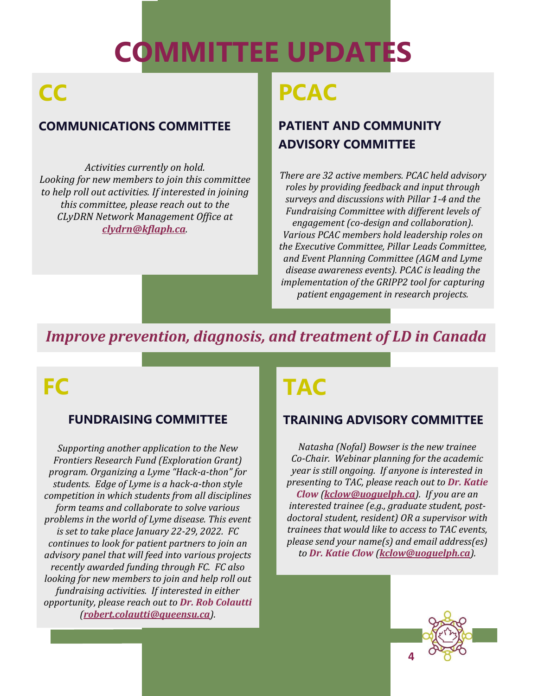# **COMMITTEE UPDATES**

## **CC**

#### **COMMUNICATIONS COMMITTEE**

*Activities currently on hold. Looking for new members to join this committee to help roll out activities. If interested in joining this committee, please reach out to the CLyDRN Network Management Office at [clydrn@kflaph.ca](mailto:clydrn@kflaph.ca).*

## **PCAC**

#### **PATIENT AND COMMUNITY ADVISORY COMMITTEE**

*There are 32 active members. PCAC held advisory roles by providing feedback and input through surveys and discussions with Pillar 1-4 and the Fundraising Committee with different levels of engagement (co-design and collaboration). Various PCAC members hold leadership roles on the Executive Committee, Pillar Leads Committee, and Event Planning Committee (AGM and Lyme disease awareness events). PCAC is leading the implementation of the GRIPP2 tool for capturing patient engagement in research projects.*

### *Improve prevention, diagnosis, and treatment of LD in Canada*

## **FC**

#### **FUNDRAISING COMMITTEE**

*Supporting another application to the New Frontiers Research Fund (Exploration Grant) program. Organizing a Lyme "Hack-a-thon" for students. Edge of Lyme is a hack-a-thon style competition in which students from all disciplines form teams and collaborate to solve various problems in the world of Lyme disease. This event is set to take place January 22-29, 2022. FC continues to look for patient partners to join an advisory panel that will feed into various projects recently awarded funding through FC. FC also looking for new members to join and help roll out fundraising activities. If interested in either opportunity, please reach out to Dr. Rob Colautti ([robert.colautti@queensu.ca](mailto:robert.colautti@queensu.ca)).*

## **TAC**

#### **TRAINING ADVISORY COMMITTEE**

*Natasha (Nofal) Bowser is the new trainee Co-Chair. Webinar planning for the academic year is still ongoing. If anyone is interested in presenting to TAC, please reach out to Dr. Katie Clow ([kclow@uoguelph.ca](mailto:kclow@uoguelph.ca)). If you are an interested trainee (e.g., graduate student, postdoctoral student, resident) OR a supervisor with trainees that would like to access to TAC events, please send your name(s) and email address(es) to Dr. Katie Clow ([kclow@uoguelph.ca](mailto:kclow@uoguelph.ca)).* 

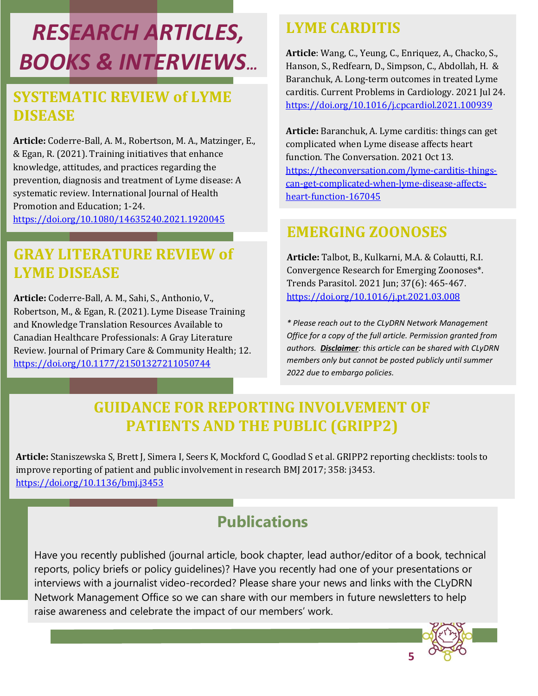## *RESEARCH ARTICLES, BOOKS & INTERVIEWS…*

### **SYSTEMATIC REVIEW of LYME DISEASE**

**Article:** Coderre-Ball, A. M., Robertson, M. A., Matzinger, E., & Egan, R. (2021). Training initiatives that enhance knowledge, attitudes, and practices regarding the prevention, diagnosis and treatment of Lyme disease: A systematic review. International Journal of Health Promotion and Education; 1-24. <https://doi.org/10.1080/14635240.2021.1920045>

### **GRAY LITERATURE REVIEW of LYME DISEASE**

**Article:** Coderre-Ball, A. M., Sahi, S., Anthonio, V., Robertson, M., & Egan, R. (2021). Lyme Disease Training and Knowledge Translation Resources Available to Canadian Healthcare Professionals: A Gray Literature Review. Journal of Primary Care & Community Health; 12. <https://doi.org/10.1177/21501327211050744>

### **LYME CARDITIS**

**Article**: Wang, C., Yeung, C., Enriquez, A., Chacko, S., Hanson, S., Redfearn, D., Simpson, C., Abdollah, H. & Baranchuk, A. Long-term outcomes in treated Lyme carditis. Current Problems in Cardiology. 2021 Jul 24. <https://doi.org/10.1016/j.cpcardiol.2021.100939>

**Article:** Baranchuk, A. Lyme carditis: things can get complicated when Lyme disease affects heart function. The Conversation. 2021 Oct 13. [https://theconversation.com/lyme-carditis-things](https://theconversation.com/lyme-carditis-things-can-get-complicated-when-lyme-disease-affects-heart-function-167045)[can-get-complicated-when-lyme-disease-affects](https://theconversation.com/lyme-carditis-things-can-get-complicated-when-lyme-disease-affects-heart-function-167045)[heart-function-167045](https://theconversation.com/lyme-carditis-things-can-get-complicated-when-lyme-disease-affects-heart-function-167045)

### **EMERGING ZOONOSES**

**Article:** Talbot, B., Kulkarni, M.A. & Colautti, R.I. Convergence Research for Emerging Zoonoses\*. Trends Parasitol. 2021 Jun; 37(6): 465-467. <https://doi.org/10.1016/j.pt.2021.03.008>

*\* Please reach out to the CLyDRN Network Management Office for a copy of the full article. Permission granted from authors. Disclaimer: this article can be shared with CLyDRN members only but cannot be posted publicly until summer 2022 due to embargo policies.*

## **GUIDANCE FOR REPORTING INVOLVEMENT OF PATIENTS AND THE PUBLIC (GRIPP2)**

**Article:** Staniszewska S, Brett J, Simera I, Seers K, Mockford C, Goodlad S et al. GRIPP2 reporting checklists: tools to improve reporting of patient and public involvement in research BMJ 2017; 358: j3453. <https://doi.org/10.1136/bmj.j3453>

## **Publications**

Have you recently published (journal article, book chapter, lead author/editor of a book, technical reports, policy briefs or policy guidelines)? Have you recently had one of your presentations or interviews with a journalist video-recorded? Please share your news and links with the CLyDRN Network Management Office so we can share with our members in future newsletters to help raise awareness and celebrate the impact of our members' work.

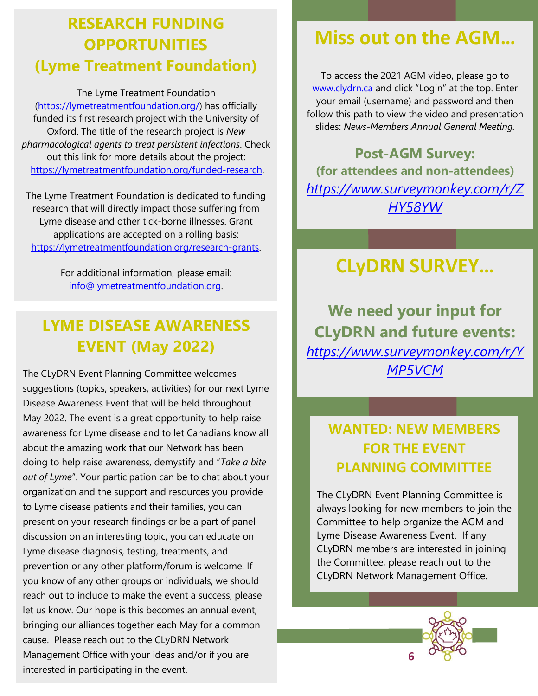## **RESEARCH FUNDING OPPORTUNITIES (Lyme Treatment Foundation)**

The Lyme Treatment Foundation

[\(https://lymetreatmentfoundation.org/\)](https://lymetreatmentfoundation.org/) has officially funded its first research project with the University of Oxford. The title of the research project is *New pharmacological agents to treat persistent infections*. Check out this link for more details about the project: [https://lymetreatmentfoundation.org/funded-research.](https://linkprotect.cudasvc.com/url?a=https%3a%2f%2flymetreatmentfoundation.org%2ffunded-research&c=E,1,PsFpXxZOR7bFZVHVLbmJem8X3G-TUPT_5TuhL_k9yJGJkHZrymFk0nsZj7yjmcQ6h9oXJiFI_8gdjc3klX8OlZoRM96euaYLiohAOLHGYx5RA0hYlfm2FLARcoF2&typo=1)

The Lyme Treatment Foundation is dedicated to funding research that will directly impact those suffering from Lyme disease and other tick-borne illnesses. Grant applications are accepted on a rolling basis: [https://lymetreatmentfoundation.org/research-grants.](https://linkprotect.cudasvc.com/url?a=https%3a%2f%2flymetreatmentfoundation.org%2fresearch-grants&c=E,1,R8Y48xp-fyIAJNSdHu3cg8q_sdk-2amsxXxwh9Qc-t9F4uecBmGsWBhxJEdon2xgOK2O-XnDuI4VZMQbnj2hr_R8ijxnKY4BZ6LnC2Uyt9HlDs1R&typo=1)

> For additional information, please email: [info@lymetreatmentfoundation.org.](mailto:info@lymetreatmentfoundation.org)

## **LYME DISEASE AWARENESS EVENT (May 2022)**

The CLyDRN Event Planning Committee welcomes suggestions (topics, speakers, activities) for our next Lyme Disease Awareness Event that will be held throughout May 2022. The event is a great opportunity to help raise awareness for Lyme disease and to let Canadians know all about the amazing work that our Network has been doing to help raise awareness, demystify and "*Take a bite out of Lyme*". Your participation can be to chat about your organization and the support and resources you provide to Lyme disease patients and their families, you can present on your research findings or be a part of panel discussion on an interesting topic, you can educate on Lyme disease diagnosis, testing, treatments, and prevention or any other platform/forum is welcome. If you know of any other groups or individuals, we should reach out to include to make the event a success, please let us know. Our hope is this becomes an annual event, bringing our alliances together each May for a common cause. Please reach out to the CLyDRN Network Management Office with your ideas and/or if you are interested in participating in the event.

## **Miss out on the AGM…**

To access the 2021 AGM video, please go to [www.clydrn.ca](http://www.clydrn.ca/) and click "Login" at the top. Enter your email (username) and password and then follow this path to view the video and presentation slides: *News-Members Annual General Meeting.*

**Post-AGM Survey: (for attendees and non-attendees)** *[https://www.surveymonkey.com/r/Z](https://www.surveymonkey.com/r/ZHY58YW) [HY58YW](https://www.surveymonkey.com/r/ZHY58YW)*

## **CLyDRN SURVEY…**

**We need your input for CLyDRN and future events:** *[https://www.surveymonkey.com/r/Y](https://www.surveymonkey.com/r/YMP5VCM) [MP5VCM](https://www.surveymonkey.com/r/YMP5VCM)*

### **WANTED: NEW MEMBERS FOR THE EVENT PLANNING COMMITTEE**

The CLyDRN Event Planning Committee is always looking for new members to join the Committee to help organize the AGM and Lyme Disease Awareness Event. If any CLyDRN members are interested in joining the Committee, please reach out to the CLyDRN Network Management Office.

**6**